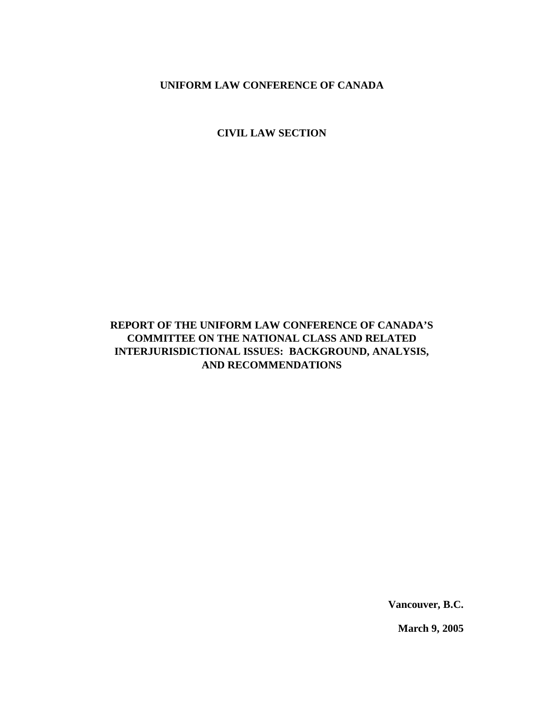**CIVIL LAW SECTION**

# **REPORT OF THE UNIFORM LAW CONFERENCE OF CANADA'S COMMITTEE ON THE NATIONAL CLASS AND RELATED INTERJURISDICTIONAL ISSUES: BACKGROUND, ANALYSIS, AND RECOMMENDATIONS**

**Vancouver, B.C.**

**March 9, 2005**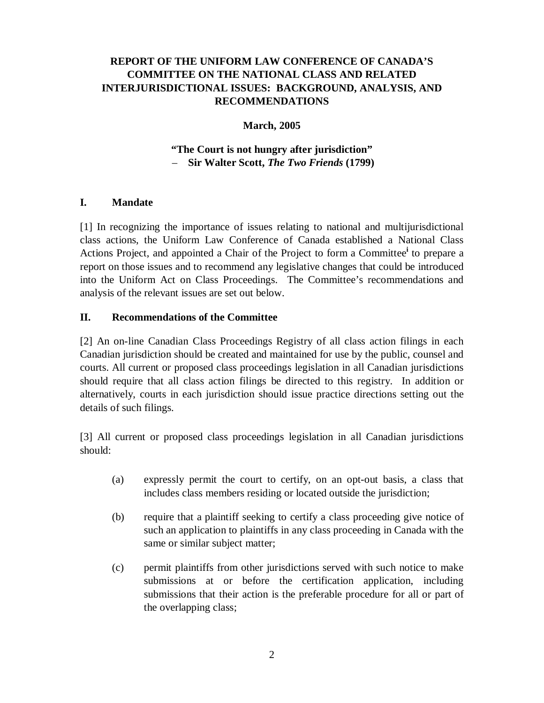### **March, 2005**

### **"The Court is not hungry after jurisdiction"** – **Sir Walter Scott,** *The Two Friends* **(1799)**

### **I. Mandate**

[1] In recognizing the importance of issues relating to national and multijurisdictional class actions, the Uniform Law Conference of Canada established a National Class Actions Project, and appointed a Chair of the Project to form a Committee **i** to prepare a report on those issues and to recommend any legislative changes that could be introduced into the Uniform Act on Class Proceedings. The Committee's recommendations and analysis of the relevant issues are set out below.

#### **II. Recommendations of the Committee**

[2] An on-line Canadian Class Proceedings Registry of all class action filings in each Canadian jurisdiction should be created and maintained for use by the public, counsel and courts. All current or proposed class proceedings legislation in all Canadian jurisdictions should require that all class action filings be directed to this registry. In addition or alternatively, courts in each jurisdiction should issue practice directions setting out the details of such filings.

[3] All current or proposed class proceedings legislation in all Canadian jurisdictions should:

- (a) expressly permit the court to certify, on an opt-out basis, a class that includes class members residing or located outside the jurisdiction;
- (b) require that a plaintiff seeking to certify a class proceeding give notice of such an application to plaintiffs in any class proceeding in Canada with the same or similar subject matter;
- (c) permit plaintiffs from other jurisdictions served with such notice to make submissions at or before the certification application, including submissions that their action is the preferable procedure for all or part of the overlapping class;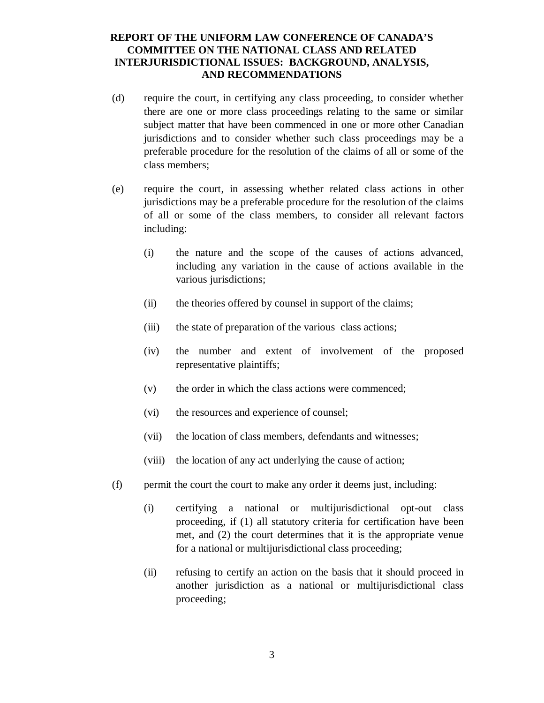- (d) require the court, in certifying any class proceeding, to consider whether there are one or more class proceedings relating to the same or similar subject matter that have been commenced in one or more other Canadian jurisdictions and to consider whether such class proceedings may be a preferable procedure for the resolution of the claims of all or some of the class members;
- (e) require the court, in assessing whether related class actions in other jurisdictions may be a preferable procedure for the resolution of the claims of all or some of the class members, to consider all relevant factors including:
	- (i) the nature and the scope of the causes of actions advanced, including any variation in the cause of actions available in the various jurisdictions;
	- (ii) the theories offered by counsel in support of the claims;
	- (iii) the state of preparation of the various class actions;
	- (iv) the number and extent of involvement of the proposed representative plaintiffs;
	- (v) the order in which the class actions were commenced;
	- (vi) the resources and experience of counsel;
	- (vii) the location of class members, defendants and witnesses;
	- (viii) the location of any act underlying the cause of action;
- (f) permit the court the court to make any order it deems just, including:
	- (i) certifying a national or multijurisdictional opt-out class proceeding, if (1) all statutory criteria for certification have been met, and (2) the court determines that it is the appropriate venue for a national or multijurisdictional class proceeding;
	- (ii) refusing to certify an action on the basis that it should proceed in another jurisdiction as a national or multijurisdictional class proceeding;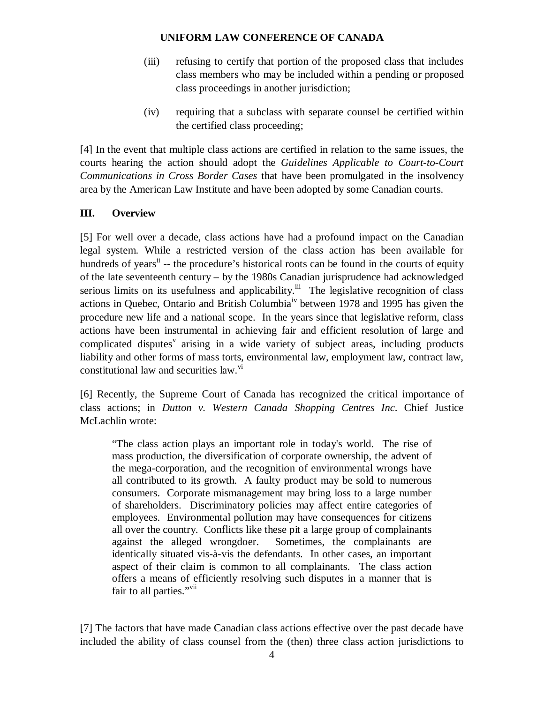- (iii) refusing to certify that portion of the proposed class that includes class members who may be included within a pending or proposed class proceedings in another jurisdiction;
- (iv) requiring that a subclass with separate counsel be certified within the certified class proceeding;

[4] In the event that multiple class actions are certified in relation to the same issues, the courts hearing the action should adopt the *Guidelines Applicable to Court-to-Court Communications in Cross Border Cases* that have been promulgated in the insolvency area by the American Law Institute and have been adopted by some Canadian courts.

# **III. Overview**

[5] For well over a decade, class actions have had a profound impact on the Canadian legal system. While a restricted version of the class action has been available for hundreds of years<sup>ii</sup> -- the procedure's historical roots can be found in the courts of equity of the late seventeenth century – by the 1980s Canadian jurisprudence had acknowledged serious limits on its usefulness and applicability.<sup>iii</sup> The legislative recognition of class actions in Quebec, Ontario and British Columbia<sup>iv</sup> between 1978 and 1995 has given the procedure new life and a national scope. In the years since that legislative reform, class actions have been instrumental in achieving fair and efficient resolution of large and complicated disputes<sup>v</sup> arising in a wide variety of subject areas, including products liability and other forms of mass torts, environmental law, employment law, contract law, constitutional law and securities law.<sup>vi</sup>

[6] Recently, the Supreme Court of Canada has recognized the critical importance of class actions; in *Dutton v. Western Canada Shopping Centres Inc*. Chief Justice McLachlin wrote:

"The class action plays an important role in today's world. The rise of mass production, the diversification of corporate ownership, the advent of the mega-corporation, and the recognition of environmental wrongs have all contributed to its growth. A faulty product may be sold to numerous consumers. Corporate mismanagement may bring loss to a large number of shareholders. Discriminatory policies may affect entire categories of employees. Environmental pollution may have consequences for citizens all over the country. Conflicts like these pit a large group of complainants against the alleged wrongdoer. Sometimes, the complainants are identically situated vis-à-vis the defendants. In other cases, an important aspect of their claim is common to all complainants. The class action offers a means of efficiently resolving such disputes in a manner that is fair to all parties."<sup>vii</sup>

[7] The factors that have made Canadian class actions effective over the past decade have included the ability of class counsel from the (then) three class action jurisdictions to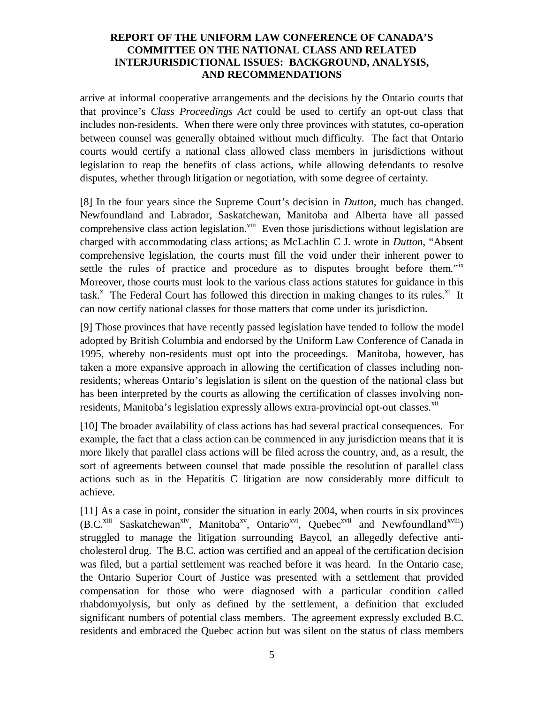arrive at informal cooperative arrangements and the decisions by the Ontario courts that that province's *Class Proceedings Act* could be used to certify an opt-out class that includes non-residents. When there were only three provinces with statutes, co-operation between counsel was generally obtained without much difficulty. The fact that Ontario courts would certify a national class allowed class members in jurisdictions without legislation to reap the benefits of class actions, while allowing defendants to resolve disputes, whether through litigation or negotiation, with some degree of certainty.

[8] In the four years since the Supreme Court's decision in *Dutton*, much has changed. Newfoundland and Labrador, Saskatchewan, Manitoba and Alberta have all passed comprehensive class action legislation.<sup>viii</sup> Even those jurisdictions without legislation are charged with accommodating class actions; as McLachlin C J. wrote in *Dutton*, "Absent comprehensive legislation, the courts must fill the void under their inherent power to settle the rules of practice and procedure as to disputes brought before them."<sup>ix</sup> Moreover, those courts must look to the various class actions statutes for guidance in this task.<sup>x</sup> The Federal Court has followed this direction in making changes to its rules.<sup>xi</sup> It can now certify national classes for those matters that come under its jurisdiction.

[9] Those provinces that have recently passed legislation have tended to follow the model adopted by British Columbia and endorsed by the Uniform Law Conference of Canada in 1995, whereby non-residents must opt into the proceedings. Manitoba, however, has taken a more expansive approach in allowing the certification of classes including nonresidents; whereas Ontario's legislation is silent on the question of the national class but has been interpreted by the courts as allowing the certification of classes involving nonresidents, Manitoba's legislation expressly allows extra-provincial opt-out classes. Xii

[10] The broader availability of class actions has had several practical consequences. For example, the fact that a class action can be commenced in any jurisdiction means that it is more likely that parallel class actions will be filed across the country, and, as a result, the sort of agreements between counsel that made possible the resolution of parallel class actions such as in the Hepatitis C litigation are now considerably more difficult to achieve.

[11] As a case in point, consider the situation in early 2004, when courts in six provinces (B.C.<sup>xiii</sup> Saskatchewan<sup>xiv</sup>, Manitoba<sup>xv</sup>, Ontario<sup>xvi</sup>, Quebec<sup>xvii</sup> and Newfoundland<sup>xviii</sup>) struggled to manage the litigation surrounding Baycol, an allegedly defective anticholesterol drug. The B.C. action was certified and an appeal of the certification decision was filed, but a partial settlement was reached before it was heard. In the Ontario case, the Ontario Superior Court of Justice was presented with a settlement that provided compensation for those who were diagnosed with a particular condition called rhabdomyolysis, but only as defined by the settlement, a definition that excluded significant numbers of potential class members. The agreement expressly excluded B.C. residents and embraced the Quebec action but was silent on the status of class members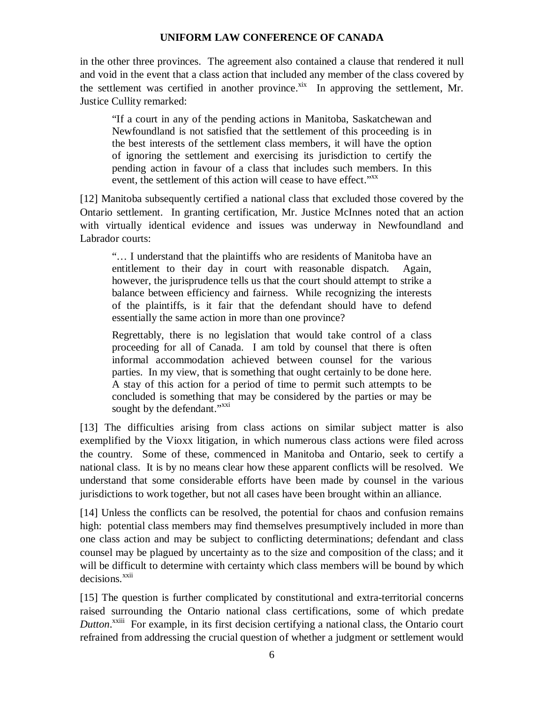in the other three provinces. The agreement also contained a clause that rendered it null and void in the event that a class action that included any member of the class covered by the settlement was certified in another province.<sup>xix</sup> In approving the settlement, Mr. Justice Cullity remarked:

"If a court in any of the pending actions in Manitoba, Saskatchewan and Newfoundland is not satisfied that the settlement of this proceeding is in the best interests of the settlement class members, it will have the option of ignoring the settlement and exercising its jurisdiction to certify the pending action in favour of a class that includes such members. In this event, the settlement of this action will cease to have effect."<sup>xx</sup>

[12] Manitoba subsequently certified a national class that excluded those covered by the Ontario settlement. In granting certification, Mr. Justice McInnes noted that an action with virtually identical evidence and issues was underway in Newfoundland and Labrador courts:

"… I understand that the plaintiffs who are residents of Manitoba have an entitlement to their day in court with reasonable dispatch. Again, however, the jurisprudence tells us that the court should attempt to strike a balance between efficiency and fairness. While recognizing the interests of the plaintiffs, is it fair that the defendant should have to defend essentially the same action in more than one province?

Regrettably, there is no legislation that would take control of a class proceeding for all of Canada. I am told by counsel that there is often informal accommodation achieved between counsel for the various parties. In my view, that is something that ought certainly to be done here. A stay of this action for a period of time to permit such attempts to be concluded is something that may be considered by the parties or may be sought by the defendant."xxi

[13] The difficulties arising from class actions on similar subject matter is also exemplified by the Vioxx litigation, in which numerous class actions were filed across the country. Some of these, commenced in Manitoba and Ontario, seek to certify a national class. It is by no means clear how these apparent conflicts will be resolved. We understand that some considerable efforts have been made by counsel in the various jurisdictions to work together, but not all cases have been brought within an alliance.

[14] Unless the conflicts can be resolved, the potential for chaos and confusion remains high: potential class members may find themselves presumptively included in more than one class action and may be subject to conflicting determinations; defendant and class counsel may be plagued by uncertainty as to the size and composition of the class; and it will be difficult to determine with certainty which class members will be bound by which decisions.<sup>xxii</sup>

[15] The question is further complicated by constitutional and extra-territorial concerns raised surrounding the Ontario national class certifications, some of which predate Dutton.<sup>xxiii</sup> For example, in its first decision certifying a national class, the Ontario court refrained from addressing the crucial question of whether a judgment or settlement would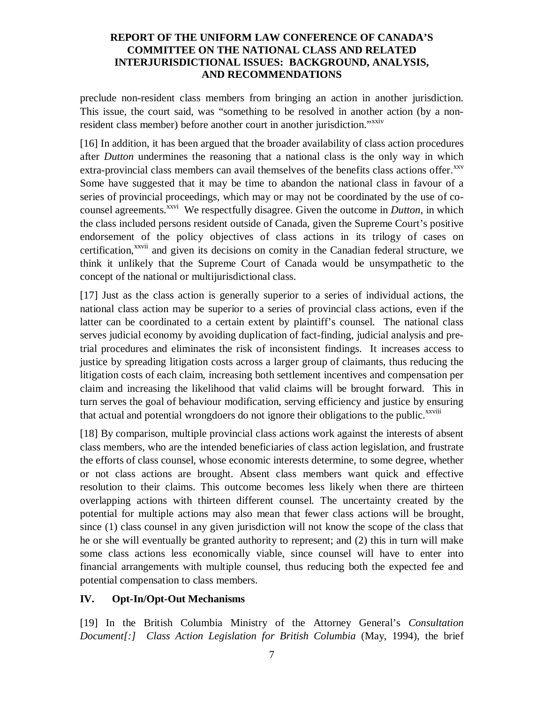preclude non-resident class members from bringing an action in another jurisdiction. This issue, the court said, was "something to be resolved in another action (by a nonresident class member) before another court in another jurisdiction."<sup>xxiv</sup>

[16] In addition, it has been argued that the broader availability of class action procedures after *Dutton* undermines the reasoning that a national class is the only way in which extra-provincial class members can avail themselves of the benefits class actions offer.<sup>xxv</sup> Some have suggested that it may be time to abandon the national class in favour of a series of provincial proceedings, which may or may not be coordinated by the use of cocounsel agreements.<sup>xxvi</sup> We respectfully disagree. Given the outcome in *Dutton*, in which the class included persons resident outside of Canada, given the Supreme Court's positive endorsement of the policy objectives of class actions in its trilogy of cases on certification,<sup>xxvii</sup> and given its decisions on comity in the Canadian federal structure, we think it unlikely that the Supreme Court of Canada would be unsympathetic to the concept of the national or multijurisdictional class.

[17] Just as the class action is generally superior to a series of individual actions, the national class action may be superior to a series of provincial class actions, even if the latter can be coordinated to a certain extent by plaintiff's counsel. The national class serves judicial economy by avoiding duplication of fact-finding, judicial analysis and pretrial procedures and eliminates the risk of inconsistent findings. It increases access to justice by spreading litigation costs across a larger group of claimants, thus reducing the litigation costs of each claim, increasing both settlement incentives and compensation per claim and increasing the likelihood that valid claims will be brought forward. This in turn serves the goal of behaviour modification, serving efficiency and justice by ensuring that actual and potential wrongdoers do not ignore their obligations to the public.<sup>xxviii</sup>

[18] By comparison, multiple provincial class actions work against the interests of absent class members, who are the intended beneficiaries of class action legislation, and frustrate the efforts of class counsel, whose economic interests determine, to some degree, whether or not class actions are brought. Absent class members want quick and effective resolution to their claims. This outcome becomes less likely when there are thirteen overlapping actions with thirteen different counsel. The uncertainty created by the potential for multiple actions may also mean that fewer class actions will be brought, since (1) class counsel in any given jurisdiction will not know the scope of the class that he or she will eventually be granted authority to represent; and (2) this in turn will make some class actions less economically viable, since counsel will have to enter into financial arrangements with multiple counsel, thus reducing both the expected fee and potential compensation to class members.

# **IV. Opt-In/Opt-Out Mechanisms**

[19] In the British Columbia Ministry of the Attorney General's *Consultation Document[:] Class Action Legislation for British Columbia* (May, 1994), the brief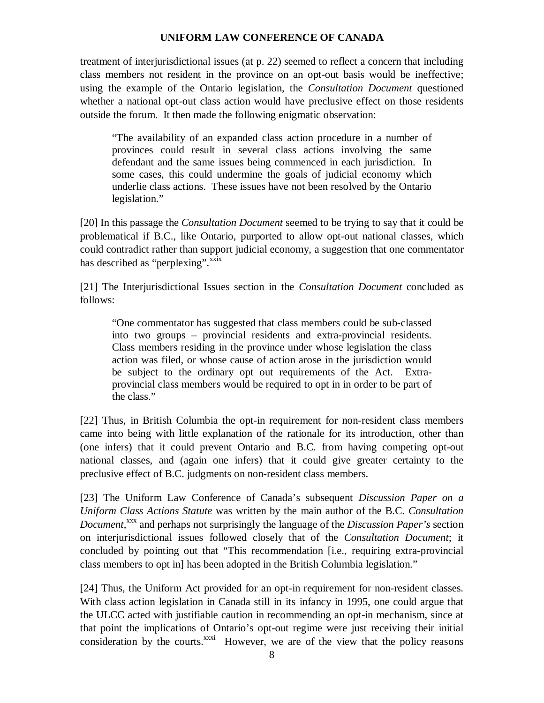treatment of interjurisdictional issues (at p. 22) seemed to reflect a concern that including class members not resident in the province on an opt-out basis would be ineffective; using the example of the Ontario legislation, the *Consultation Document* questioned whether a national opt-out class action would have preclusive effect on those residents outside the forum. It then made the following enigmatic observation:

"The availability of an expanded class action procedure in a number of provinces could result in several class actions involving the same defendant and the same issues being commenced in each jurisdiction. In some cases, this could undermine the goals of judicial economy which underlie class actions. These issues have not been resolved by the Ontario legislation."

[20] In this passage the *Consultation Document* seemed to be trying to say that it could be problematical if B.C., like Ontario, purported to allow opt-out national classes, which could contradict rather than support judicial economy, a suggestion that one commentator has described as "perplexing". XXIX

[21] The Interjurisdictional Issues section in the *Consultation Document* concluded as follows:

"One commentator has suggested that class members could be sub-classed into two groups – provincial residents and extra-provincial residents. Class members residing in the province under whose legislation the class action was filed, or whose cause of action arose in the jurisdiction would be subject to the ordinary opt out requirements of the Act. Extraprovincial class members would be required to opt in in order to be part of the class."

[22] Thus, in British Columbia the opt-in requirement for non-resident class members came into being with little explanation of the rationale for its introduction, other than (one infers) that it could prevent Ontario and B.C. from having competing opt-out national classes, and (again one infers) that it could give greater certainty to the preclusive effect of B.C. judgments on non-resident class members.

[23] The Uniform Law Conference of Canada's subsequent *Discussion Paper on a Uniform Class Actions Statute* was written by the main author of the B.C. *Consultation Document*, xxx and perhaps not surprisingly the language of the *Discussion Paper's* section on interjurisdictional issues followed closely that of the *Consultation Document*; it concluded by pointing out that "This recommendation [i.e., requiring extra-provincial class members to opt in] has been adopted in the British Columbia legislation."

[24] Thus, the Uniform Act provided for an opt-in requirement for non-resident classes. With class action legislation in Canada still in its infancy in 1995, one could argue that the ULCC acted with justifiable caution in recommending an opt-in mechanism, since at that point the implications of Ontario's opt-out regime were just receiving their initial consideration by the courts.<sup>xxxi</sup> However, we are of the view that the policy reasons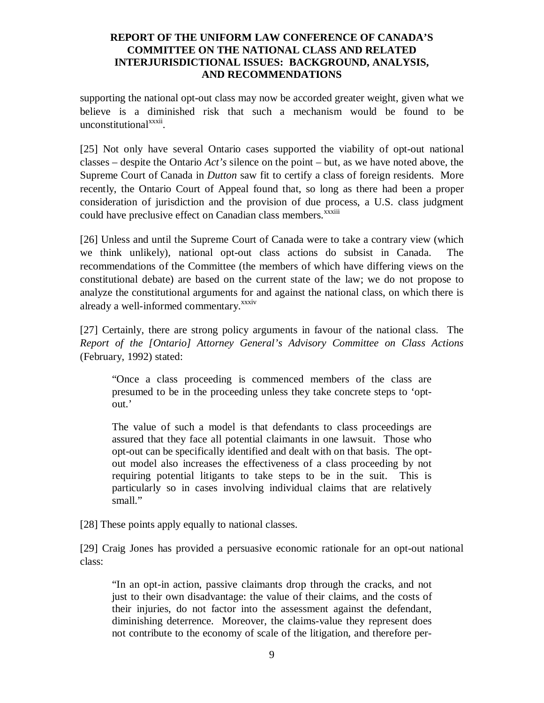supporting the national opt-out class may now be accorded greater weight, given what we believe is a diminished risk that such a mechanism would be found to be unconstitutional<sup>xxxii</sup>.

[25] Not only have several Ontario cases supported the viability of opt-out national classes – despite the Ontario *Act's* silence on the point – but, as we have noted above, the Supreme Court of Canada in *Dutton* saw fit to certify a class of foreign residents. More recently, the Ontario Court of Appeal found that, so long as there had been a proper consideration of jurisdiction and the provision of due process, a U.S. class judgment could have preclusive effect on Canadian class members.<sup>xxxiii</sup>

[26] Unless and until the Supreme Court of Canada were to take a contrary view (which we think unlikely), national opt-out class actions do subsist in Canada. The recommendations of the Committee (the members of which have differing views on the constitutional debate) are based on the current state of the law; we do not propose to analyze the constitutional arguments for and against the national class, on which there is already a well-informed commentary.<sup>xxxiv</sup>

[27] Certainly, there are strong policy arguments in favour of the national class. The *Report of the [Ontario] Attorney General's Advisory Committee on Class Actions* (February, 1992) stated:

"Once a class proceeding is commenced members of the class are presumed to be in the proceeding unless they take concrete steps to 'optout.'

The value of such a model is that defendants to class proceedings are assured that they face all potential claimants in one lawsuit. Those who opt-out can be specifically identified and dealt with on that basis. The optout model also increases the effectiveness of a class proceeding by not requiring potential litigants to take steps to be in the suit. This is particularly so in cases involving individual claims that are relatively small."

[28] These points apply equally to national classes.

[29] Craig Jones has provided a persuasive economic rationale for an opt-out national class:

"In an opt-in action, passive claimants drop through the cracks, and not just to their own disadvantage: the value of their claims, and the costs of their injuries, do not factor into the assessment against the defendant, diminishing deterrence. Moreover, the claims-value they represent does not contribute to the economy of scale of the litigation, and therefore per-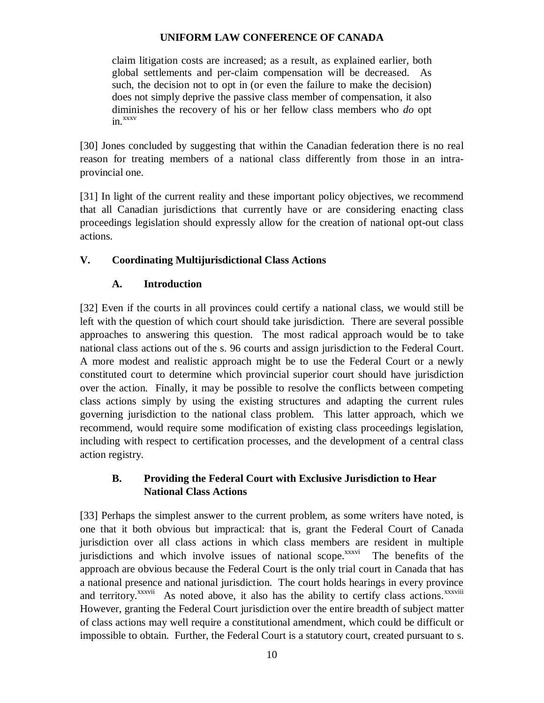claim litigation costs are increased; as a result, as explained earlier, both global settlements and per-claim compensation will be decreased. As such, the decision not to opt in (or even the failure to make the decision) does not simply deprive the passive class member of compensation, it also diminishes the recovery of his or her fellow class members who *do* opt in. xxxv

[30] Jones concluded by suggesting that within the Canadian federation there is no real reason for treating members of a national class differently from those in an intraprovincial one.

[31] In light of the current reality and these important policy objectives, we recommend that all Canadian jurisdictions that currently have or are considering enacting class proceedings legislation should expressly allow for the creation of national opt-out class actions.

# **V. Coordinating Multijurisdictional Class Actions**

# **A. Introduction**

[32] Even if the courts in all provinces could certify a national class, we would still be left with the question of which court should take jurisdiction. There are several possible approaches to answering this question. The most radical approach would be to take national class actions out of the s. 96 courts and assign jurisdiction to the Federal Court. A more modest and realistic approach might be to use the Federal Court or a newly constituted court to determine which provincial superior court should have jurisdiction over the action. Finally, it may be possible to resolve the conflicts between competing class actions simply by using the existing structures and adapting the current rules governing jurisdiction to the national class problem. This latter approach, which we recommend, would require some modification of existing class proceedings legislation, including with respect to certification processes, and the development of a central class action registry.

# **B. Providing the Federal Court with Exclusive Jurisdiction to Hear National Class Actions**

[33] Perhaps the simplest answer to the current problem, as some writers have noted, is one that it both obvious but impractical: that is, grant the Federal Court of Canada jurisdiction over all class actions in which class members are resident in multiple jurisdictions and which involve issues of national scope.<sup>xxxvi</sup> The benefits of the approach are obvious because the Federal Court is the only trial court in Canada that has a national presence and national jurisdiction. The court holds hearings in every province and territory.<sup>xxxvii</sup> As noted above, it also has the ability to certify class actions.<sup>xxxviii</sup> However, granting the Federal Court jurisdiction over the entire breadth of subject matter of class actions may well require a constitutional amendment, which could be difficult or impossible to obtain. Further, the Federal Court is a statutory court, created pursuant to s.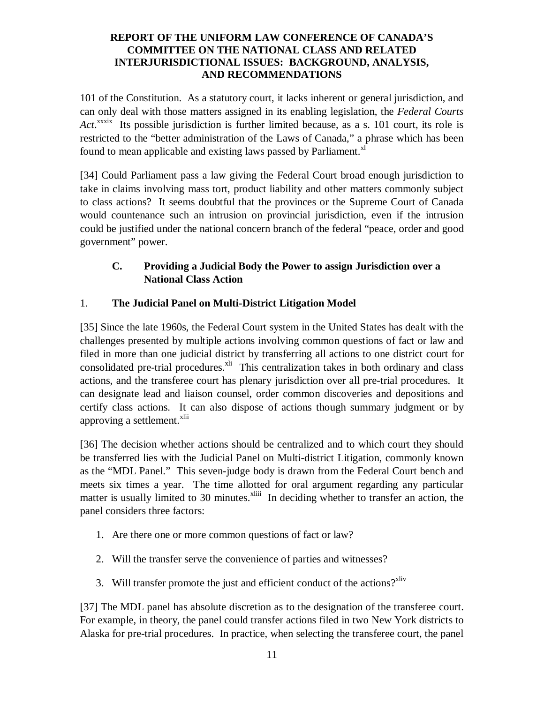101 of the Constitution. As a statutory court, it lacks inherent or general jurisdiction, and can only deal with those matters assigned in its enabling legislation, the *Federal Courts* Act.<sup>xxxix</sup> Its possible jurisdiction is further limited because, as a s. 101 court, its role is restricted to the "better administration of the Laws of Canada," a phrase which has been found to mean applicable and existing laws passed by Parliament.<sup>xl</sup>

[34] Could Parliament pass a law giving the Federal Court broad enough jurisdiction to take in claims involving mass tort, product liability and other matters commonly subject to class actions? It seems doubtful that the provinces or the Supreme Court of Canada would countenance such an intrusion on provincial jurisdiction, even if the intrusion could be justified under the national concern branch of the federal "peace, order and good government" power.

# **C. Providing a Judicial Body the Power to assign Jurisdiction over a National Class Action**

# 1. **The Judicial Panel on Multi-District Litigation Model**

[35] Since the late 1960s, the Federal Court system in the United States has dealt with the challenges presented by multiple actions involving common questions of fact or law and filed in more than one judicial district by transferring all actions to one district court for consolidated pre-trial procedures. XII This centralization takes in both ordinary and class actions, and the transferee court has plenary jurisdiction over all pre-trial procedures. It can designate lead and liaison counsel, order common discoveries and depositions and certify class actions. It can also dispose of actions though summary judgment or by approving a settlement.<sup>xlii</sup>

[36] The decision whether actions should be centralized and to which court they should be transferred lies with the Judicial Panel on Multi-district Litigation, commonly known as the "MDL Panel." This seven-judge body is drawn from the Federal Court bench and meets six times a year. The time allotted for oral argument regarding any particular matter is usually limited to 30 minutes.<sup>xliii</sup> In deciding whether to transfer an action, the panel considers three factors:

- 1. Are there one or more common questions of fact or law?
- 2. Will the transfer serve the convenience of parties and witnesses?
- 3. Will transfer promote the just and efficient conduct of the actions?<sup>xliv</sup>

[37] The MDL panel has absolute discretion as to the designation of the transferee court. For example, in theory, the panel could transfer actions filed in two New York districts to Alaska for pre-trial procedures. In practice, when selecting the transferee court, the panel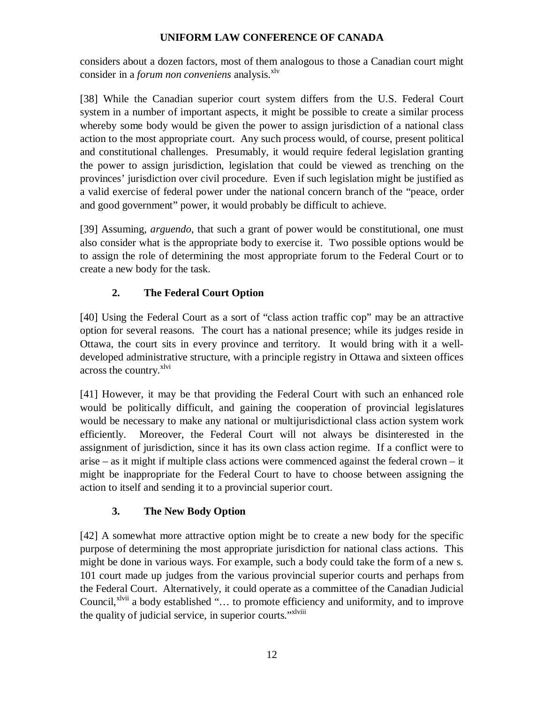considers about a dozen factors, most of them analogous to those a Canadian court might consider in a *forum non conveniens* analysis. xlv

[38] While the Canadian superior court system differs from the U.S. Federal Court system in a number of important aspects, it might be possible to create a similar process whereby some body would be given the power to assign jurisdiction of a national class action to the most appropriate court. Any such process would, of course, present political and constitutional challenges. Presumably, it would require federal legislation granting the power to assign jurisdiction, legislation that could be viewed as trenching on the provinces' jurisdiction over civil procedure. Even if such legislation might be justified as a valid exercise of federal power under the national concern branch of the "peace, order and good government" power, it would probably be difficult to achieve.

[39] Assuming, *arguendo*, that such a grant of power would be constitutional, one must also consider what is the appropriate body to exercise it. Two possible options would be to assign the role of determining the most appropriate forum to the Federal Court or to create a new body for the task.

# **2. The Federal Court Option**

[40] Using the Federal Court as a sort of "class action traffic cop" may be an attractive option for several reasons. The court has a national presence; while its judges reside in Ottawa, the court sits in every province and territory. It would bring with it a welldeveloped administrative structure, with a principle registry in Ottawa and sixteen offices across the country.<sup>xlvi</sup>

[41] However, it may be that providing the Federal Court with such an enhanced role would be politically difficult, and gaining the cooperation of provincial legislatures would be necessary to make any national or multijurisdictional class action system work efficiently. Moreover, the Federal Court will not always be disinterested in the assignment of jurisdiction, since it has its own class action regime. If a conflict were to arise – as it might if multiple class actions were commenced against the federal crown – it might be inappropriate for the Federal Court to have to choose between assigning the action to itself and sending it to a provincial superior court.

# **3. The New Body Option**

[42] A somewhat more attractive option might be to create a new body for the specific purpose of determining the most appropriate jurisdiction for national class actions. This might be done in various ways. For example, such a body could take the form of a new s. 101 court made up judges from the various provincial superior courts and perhaps from the Federal Court. Alternatively, it could operate as a committee of the Canadian Judicial Council,<sup>xlvii</sup> a body established "... to promote efficiency and uniformity, and to improve the quality of judicial service, in superior courts."<sup>xlviii</sup>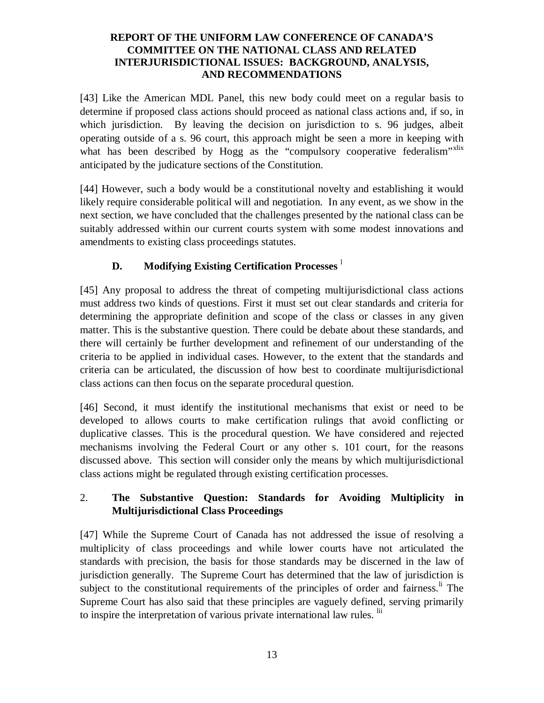[43] Like the American MDL Panel, this new body could meet on a regular basis to determine if proposed class actions should proceed as national class actions and, if so, in which jurisdiction. By leaving the decision on jurisdiction to s. 96 judges, albeit operating outside of a s. 96 court, this approach might be seen a more in keeping with what has been described by Hogg as the "compulsory cooperative federalism"<sup>xlix</sup> anticipated by the judicature sections of the Constitution.

[44] However, such a body would be a constitutional novelty and establishing it would likely require considerable political will and negotiation. In any event, as we show in the next section, we have concluded that the challenges presented by the national class can be suitably addressed within our current courts system with some modest innovations and amendments to existing class proceedings statutes.

# **D. Modifying Existing Certification Processes** l

[45] Any proposal to address the threat of competing multijurisdictional class actions must address two kinds of questions. First it must set out clear standards and criteria for determining the appropriate definition and scope of the class or classes in any given matter. This is the substantive question. There could be debate about these standards, and there will certainly be further development and refinement of our understanding of the criteria to be applied in individual cases. However, to the extent that the standards and criteria can be articulated, the discussion of how best to coordinate multijurisdictional class actions can then focus on the separate procedural question.

[46] Second, it must identify the institutional mechanisms that exist or need to be developed to allows courts to make certification rulings that avoid conflicting or duplicative classes. This is the procedural question. We have considered and rejected mechanisms involving the Federal Court or any other s. 101 court, for the reasons discussed above. This section will consider only the means by which multijurisdictional class actions might be regulated through existing certification processes.

# 2. **The Substantive Question: Standards for Avoiding Multiplicity in Multijurisdictional Class Proceedings**

[47] While the Supreme Court of Canada has not addressed the issue of resolving a multiplicity of class proceedings and while lower courts have not articulated the standards with precision, the basis for those standards may be discerned in the law of jurisdiction generally. The Supreme Court has determined that the law of jurisdiction is subject to the constitutional requirements of the principles of order and fairness.<sup>li</sup> The Supreme Court has also said that these principles are vaguely defined, serving primarily to inspire the interpretation of various private international law rules. <sup>lii</sup>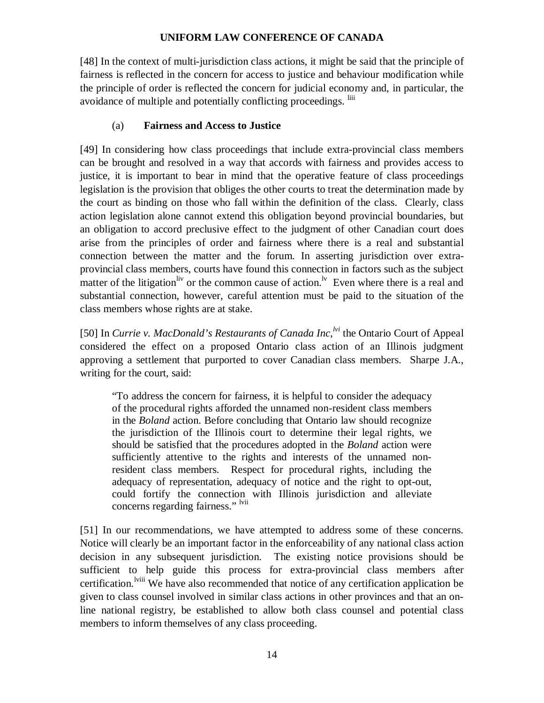[48] In the context of multi-jurisdiction class actions, it might be said that the principle of fairness is reflected in the concern for access to justice and behaviour modification while the principle of order is reflected the concern for judicial economy and, in particular, the avoidance of multiple and potentially conflicting proceedings. <sup>liii</sup>

# (a) **Fairness and Access to Justice**

[49] In considering how class proceedings that include extra-provincial class members can be brought and resolved in a way that accords with fairness and provides access to justice, it is important to bear in mind that the operative feature of class proceedings legislation is the provision that obliges the other courts to treat the determination made by the court as binding on those who fall within the definition of the class. Clearly, class action legislation alone cannot extend this obligation beyond provincial boundaries, but an obligation to accord preclusive effect to the judgment of other Canadian court does arise from the principles of order and fairness where there is a real and substantial connection between the matter and the forum. In asserting jurisdiction over extraprovincial class members, courts have found this connection in factors such as the subject matter of the litigation<sup>liv</sup> or the common cause of action.<sup>1v</sup> Even where there is a real and substantial connection, however, careful attention must be paid to the situation of the class members whose rights are at stake.

[50] In *Currie v. MacDonald's Restaurants of Canada Inc*, <sup>*lvi*</sup> the Ontario Court of Appeal considered the effect on a proposed Ontario class action of an Illinois judgment approving a settlement that purported to cover Canadian class members. Sharpe J.A., writing for the court, said:

"To address the concern for fairness, it is helpful to consider the adequacy of the procedural rights afforded the unnamed non-resident class members in the *Boland* action. Before concluding that Ontario law should recognize the jurisdiction of the Illinois court to determine their legal rights, we should be satisfied that the procedures adopted in the *Boland* action were sufficiently attentive to the rights and interests of the unnamed nonresident class members. Respect for procedural rights, including the adequacy of representation, adequacy of notice and the right to opt-out, could fortify the connection with Illinois jurisdiction and alleviate concerns regarding fairness." lvii

[51] In our recommendations, we have attempted to address some of these concerns. Notice will clearly be an important factor in the enforceability of any national class action decision in any subsequent jurisdiction. The existing notice provisions should be sufficient to help guide this process for extra-provincial class members after certification. <sup>Iviii</sup> We have also recommended that notice of any certification application be given to class counsel involved in similar class actions in other provinces and that an online national registry, be established to allow both class counsel and potential class members to inform themselves of any class proceeding.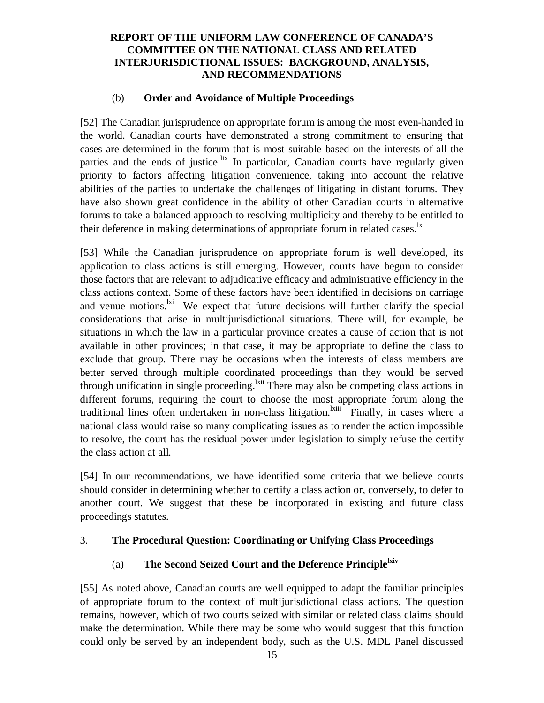### (b) **Order and Avoidance of Multiple Proceedings**

[52] The Canadian jurisprudence on appropriate forum is among the most even-handed in the world. Canadian courts have demonstrated a strong commitment to ensuring that cases are determined in the forum that is most suitable based on the interests of all the parties and the ends of justice.<sup>lix</sup> In particular, Canadian courts have regularly given priority to factors affecting litigation convenience, taking into account the relative abilities of the parties to undertake the challenges of litigating in distant forums. They have also shown great confidence in the ability of other Canadian courts in alternative forums to take a balanced approach to resolving multiplicity and thereby to be entitled to their deference in making determinations of appropriate forum in related cases.<sup>1x</sup>

[53] While the Canadian jurisprudence on appropriate forum is well developed, its application to class actions is still emerging. However, courts have begun to consider those factors that are relevant to adjudicative efficacy and administrative efficiency in the class actions context. Some of these factors have been identified in decisions on carriage and venue motions.<sup>1xi</sup> We expect that future decisions will further clarify the special considerations that arise in multijurisdictional situations. There will, for example, be situations in which the law in a particular province creates a cause of action that is not available in other provinces; in that case, it may be appropriate to define the class to exclude that group. There may be occasions when the interests of class members are better served through multiple coordinated proceedings than they would be served through unification in single proceeding. <sup>Ixii</sup> There may also be competing class actions in different forums, requiring the court to choose the most appropriate forum along the traditional lines often undertaken in non-class litigation.<sup>1xiii</sup> Finally, in cases where a national class would raise so many complicating issues as to render the action impossible to resolve, the court has the residual power under legislation to simply refuse the certify the class action at all.

[54] In our recommendations, we have identified some criteria that we believe courts should consider in determining whether to certify a class action or, conversely, to defer to another court. We suggest that these be incorporated in existing and future class proceedings statutes.

# 3. **The Procedural Question: Coordinating or Unifying Class Proceedings**

# (a) **The Second Seized Court and the Deference Principle lxiv**

[55] As noted above, Canadian courts are well equipped to adapt the familiar principles of appropriate forum to the context of multijurisdictional class actions. The question remains, however, which of two courts seized with similar or related class claims should make the determination. While there may be some who would suggest that this function could only be served by an independent body, such as the U.S. MDL Panel discussed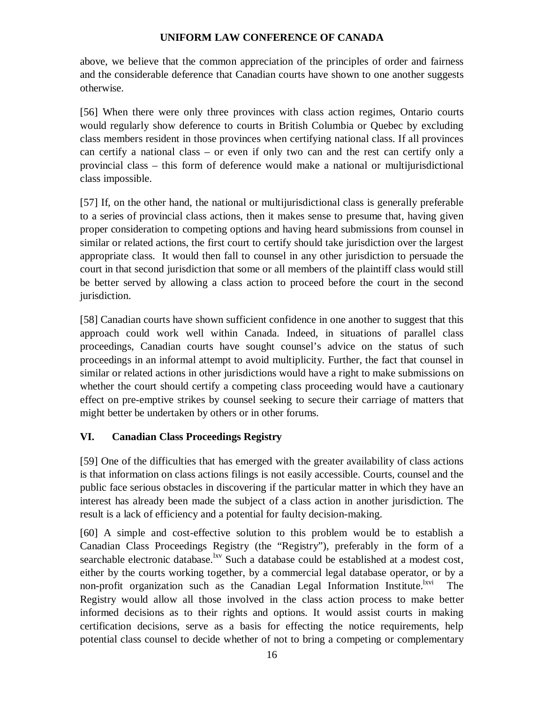above, we believe that the common appreciation of the principles of order and fairness and the considerable deference that Canadian courts have shown to one another suggests otherwise.

[56] When there were only three provinces with class action regimes, Ontario courts would regularly show deference to courts in British Columbia or Quebec by excluding class members resident in those provinces when certifying national class. If all provinces can certify a national class – or even if only two can and the rest can certify only a provincial class – this form of deference would make a national or multijurisdictional class impossible.

[57] If, on the other hand, the national or multijurisdictional class is generally preferable to a series of provincial class actions, then it makes sense to presume that, having given proper consideration to competing options and having heard submissions from counsel in similar or related actions, the first court to certify should take jurisdiction over the largest appropriate class. It would then fall to counsel in any other jurisdiction to persuade the court in that second jurisdiction that some or all members of the plaintiff class would still be better served by allowing a class action to proceed before the court in the second jurisdiction.

[58] Canadian courts have shown sufficient confidence in one another to suggest that this approach could work well within Canada. Indeed, in situations of parallel class proceedings, Canadian courts have sought counsel's advice on the status of such proceedings in an informal attempt to avoid multiplicity. Further, the fact that counsel in similar or related actions in other jurisdictions would have a right to make submissions on whether the court should certify a competing class proceeding would have a cautionary effect on pre-emptive strikes by counsel seeking to secure their carriage of matters that might better be undertaken by others or in other forums.

# **VI. Canadian Class Proceedings Registry**

[59] One of the difficulties that has emerged with the greater availability of class actions is that information on class actions filings is not easily accessible. Courts, counsel and the public face serious obstacles in discovering if the particular matter in which they have an interest has already been made the subject of a class action in another jurisdiction. The result is a lack of efficiency and a potential for faulty decision-making.

[60] A simple and cost-effective solution to this problem would be to establish a Canadian Class Proceedings Registry (the "Registry"), preferably in the form of a searchable electronic database. <sup>Ixv</sup> Such a database could be established at a modest cost, either by the courts working together, by a commercial legal database operator, or by a non-profit organization such as the Canadian Legal Information Institute.<sup>lxvi</sup> The Registry would allow all those involved in the class action process to make better informed decisions as to their rights and options. It would assist courts in making certification decisions, serve as a basis for effecting the notice requirements, help potential class counsel to decide whether of not to bring a competing or complementary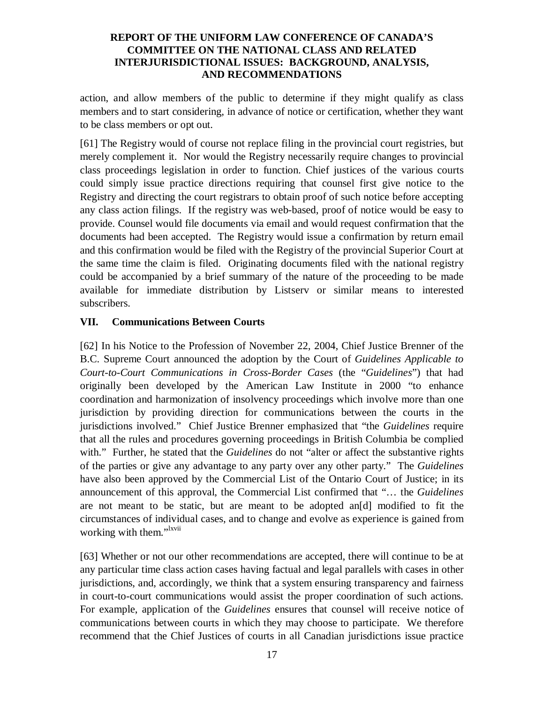action, and allow members of the public to determine if they might qualify as class members and to start considering, in advance of notice or certification, whether they want to be class members or opt out.

[61] The Registry would of course not replace filing in the provincial court registries, but merely complement it. Nor would the Registry necessarily require changes to provincial class proceedings legislation in order to function. Chief justices of the various courts could simply issue practice directions requiring that counsel first give notice to the Registry and directing the court registrars to obtain proof of such notice before accepting any class action filings. If the registry was web-based, proof of notice would be easy to provide. Counsel would file documents via email and would request confirmation that the documents had been accepted. The Registry would issue a confirmation by return email and this confirmation would be filed with the Registry of the provincial Superior Court at the same time the claim is filed. Originating documents filed with the national registry could be accompanied by a brief summary of the nature of the proceeding to be made available for immediate distribution by Listserv or similar means to interested subscribers.

# **VII. Communications Between Courts**

[62] In his Notice to the Profession of November 22, 2004, Chief Justice Brenner of the B.C. Supreme Court announced the adoption by the Court of *Guidelines Applicable to Court-to-Court Communications in Cross-Border Cases* (the "*Guidelines*") that had originally been developed by the American Law Institute in 2000 "to enhance coordination and harmonization of insolvency proceedings which involve more than one jurisdiction by providing direction for communications between the courts in the jurisdictions involved." Chief Justice Brenner emphasized that "the *Guidelines* require that all the rules and procedures governing proceedings in British Columbia be complied with." Further, he stated that the *Guidelines* do not "alter or affect the substantive rights of the parties or give any advantage to any party over any other party." The *Guidelines* have also been approved by the Commercial List of the Ontario Court of Justice; in its announcement of this approval, the Commercial List confirmed that "… the *Guidelines* are not meant to be static, but are meant to be adopted an[d] modified to fit the circumstances of individual cases, and to change and evolve as experience is gained from working with them."<sup>Ixvii</sup>

[63] Whether or not our other recommendations are accepted, there will continue to be at any particular time class action cases having factual and legal parallels with cases in other jurisdictions, and, accordingly, we think that a system ensuring transparency and fairness in court-to-court communications would assist the proper coordination of such actions. For example, application of the *Guidelines* ensures that counsel will receive notice of communications between courts in which they may choose to participate. We therefore recommend that the Chief Justices of courts in all Canadian jurisdictions issue practice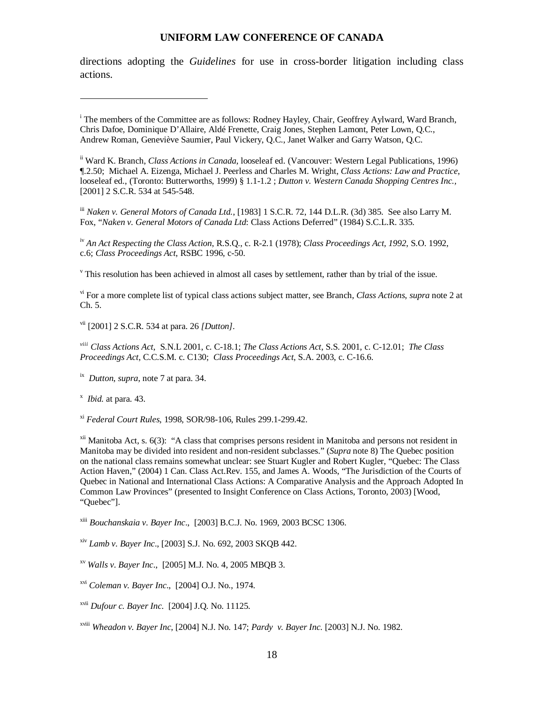directions adopting the *Guidelines* for use in cross-border litigation including class actions.

iii *Naken v. General Motors of Canada Ltd.*, [1983] 1 S.C.R. 72, 144 D.L.R. (3d) 385. See also Larry M. Fox, "*Naken v. General Motors of Canada Ltd*: Class Actions Deferred" (1984) S.C.L.R. 335.

iv *An Act Respecting the Class Action*, R.S.Q., c. R-2.1 (1978); *Class Proceedings Act, 1992*, S.O. 1992, c.6; *Class Proceedings Act*, RSBC 1996, c-50.

 $\overline{v}$ . This resolution has been achieved in almost all cases by settlement, rather than by trial of the issue.

vi For a more complete list of typical class actions subject matter, see Branch, *Class Actions*, *supra* note 2 at Ch. 5.

vii [2001] 2 S.C.R. 534 at para. 26 *[Dutton]*.

*viii Class Actions Act*, S.N.L 2001, c. C-18.1; *The Class Actions Act*, S.S. 2001, c. C-12.01; *The Class Proceedings Act*, C.C.S.M. c. C130; *Class Proceedings Act*, S.A. 2003, c. C-16.6.

ix *Dutton*, *supra*, note 7 at para. 34.

x *Ibid.* at para. 43.

xi *Federal Court Rules*, 1998, SOR/98-106, Rules 299.1-299.42.

xii Manitoba Act, s. 6(3): "A class that comprises persons resident in Manitoba and persons not resident in Manitoba may be divided into resident and non-resident subclasses." (*Supra* note 8) The Quebec position on the national class remains somewhat unclear: see Stuart Kugler and Robert Kugler, "Quebec: The Class Action Haven," (2004) 1 Can. Class Act.Rev. 155, and James A. Woods, "The Jurisdiction of the Courts of Quebec in National and International Class Actions: A Comparative Analysis and the Approach Adopted In Common Law Provinces" (presented to Insight Conference on Class Actions, Toronto, 2003) [Wood, "Quebec"].

xiii *Bouchanskaia v. Bayer Inc*., [2003] B.C.J. No. 1969, 2003 BCSC 1306.

xiv *Lamb v. Bayer Inc*., [2003] S.J. No. 692, 2003 SKQB 442.

xv *Walls v. Bayer Inc*., [2005] M.J. No. 4, 2005 MBQB 3.

xvi *Coleman v. Bayer Inc*., [2004] O.J. No., 1974.

xvii *Dufour c. Bayer Inc*. [2004] J.Q. No. 11125.

xviii *Wheadon v. Bayer Inc*, [2004] N.J. No. 147; *Pardy v. Bayer Inc.* [2003] N.J. No. 1982.

<sup>&</sup>lt;sup>i</sup> The members of the Committee are as follows: Rodney Hayley, Chair, Geoffrey Aylward, Ward Branch, Chris Dafoe, Dominique D'Allaire, Aldé Frenette, Craig Jones, Stephen Lamont, Peter Lown, Q.C., Andrew Roman, Geneviève Saumier, Paul Vickery, Q.C., Janet Walker and Garry Watson, Q.C.

ii Ward K. Branch, *Class Actions in Canada*, looseleaf ed. (Vancouver: Western Legal Publications, 1996) ¶.2.50; Michael A. Eizenga, Michael J. Peerless and Charles M. Wright, *Class Actions: Law and Practice*, looseleaf ed., (Toronto: Butterworths, 1999) § 1.1-1.2 ; *Dutton v. Western Canada Shopping Centres Inc.,* [2001] 2 S.C.R. 534 at 545-548.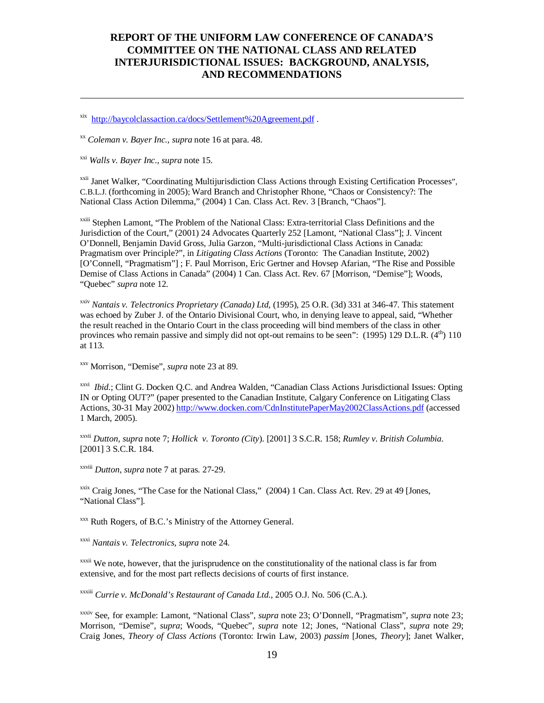xix http://baycolclassaction.ca/docs/Settlement%20Agreement.pdf .

xx *Coleman v. Bayer Inc., supra* note 16 at para. 48.

xxi *Walls v. Bayer Inc., supra* note 15.

xxii Janet Walker, "Coordinating Multijurisdiction Class Actions through Existing Certification Processes", C.B.L.J. (forthcoming in 2005); Ward Branch and Christopher Rhone, "Chaos or Consistency?: The National Class Action Dilemma," (2004) 1 Can. Class Act. Rev. 3 [Branch, "Chaos"].

<sup>xxiii</sup> Stephen Lamont, "The Problem of the National Class: Extra-territorial Class Definitions and the Jurisdiction of the Court," (2001) 24 Advocates Quarterly 252 [Lamont, "National Class"]; J. Vincent O'Donnell, Benjamin David Gross, Julia Garzon, "Multi-jurisdictional Class Actions in Canada: Pragmatism over Principle?", in *Litigating Class Actions* (Toronto: The Canadian Institute, 2002) [O'Connell, "Pragmatism"] ; F. Paul Morrison, Eric Gertner and Hovsep Afarian, "The Rise and Possible Demise of Class Actions in Canada" (2004) 1 Can. Class Act. Rev. 67 [Morrison, "Demise"]; Woods, "Quebec" *supra* note 12.

xxiv *Nantais v. Telectronics Proprietary (Canada) Ltd,* (1995), 25 O.R. (3d) 331 at 346-47. This statement was echoed by Zuber J. of the Ontario Divisional Court, who, in denying leave to appeal, said, "Whether the result reached in the Ontario Court in the class proceeding will bind members of the class in other provinces who remain passive and simply did not opt-out remains to be seen":  $(1995)$  129 D.L.R.  $(4<sup>th</sup>)$  110 at 113.

xxv Morrison, "Demise", *supra* note 23 at 89.

xxvi *Ibid*.; Clint G. Docken Q.C. and Andrea Walden, "Canadian Class Actions Jurisdictional Issues: Opting IN or Opting OUT?" (paper presented to the Canadian Institute, Calgary Conference on Litigating Class Actions, 30-31 May 2002) http://www.docken.com/CdnInstitutePaperMay2002ClassActions.pdf (accessed 1 March, 2005).

xxvii *Dutton, supra* note 7; *Hollick v. Toronto (City*). [2001] 3 S.C.R. 158; *Rumley v. British Columbia.* [2001] 3 S.C.R. 184.

xxviii *Dutton*, *supra* note 7 at paras. 27-29.

<sup>xxix</sup> Craig Jones, "The Case for the National Class," (2004) 1 Can. Class Act. Rev. 29 at 49 [Jones, "National Class"].

xxx Ruth Rogers, of B.C.'s Ministry of the Attorney General.

xxxi *Nantais v. Telectronics*, *supra* note 24.

 $x$ <sup>xxxii</sup> We note, however, that the jurisprudence on the constitutionality of the national class is far from extensive, and for the most part reflects decisions of courts of first instance.

xxxiii *Currie v. McDonald's Restaurant of Canada Ltd*., 2005 O.J. No. 506 (C.A.).

xxxiv See, for example: Lamont, "National Class", *supra* note 23; O'Donnell, "Pragmatism", *supra* note 23; Morrison, "Demise", *supra*; Woods, "Quebec", *supra* note 12; Jones, "National Class", *supra* note 29; Craig Jones, *Theory of Class Actions* (Toronto: Irwin Law, 2003) *passim* [Jones, *Theory*]; Janet Walker,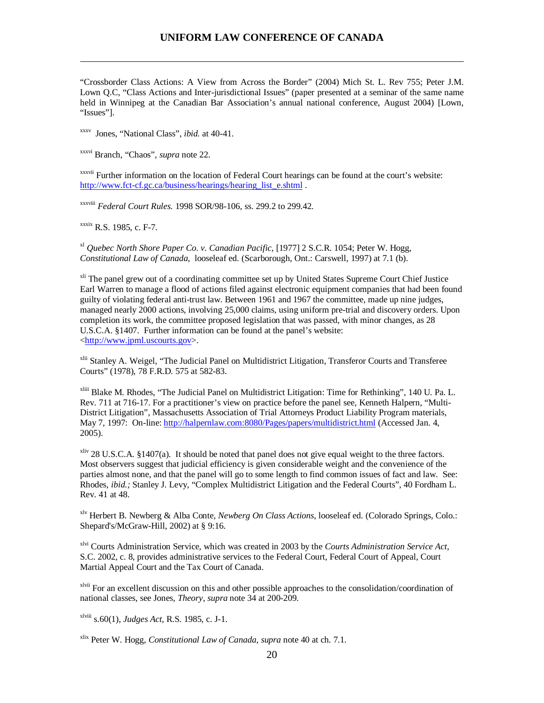"Crossborder Class Actions: A View from Across the Border" (2004) Mich St. L. Rev 755; Peter J.M. Lown Q.C, "Class Actions and Inter-jurisdictional Issues" (paper presented at a seminar of the same name held in Winnipeg at the Canadian Bar Association's annual national conference, August 2004) [Lown, "Issues"].

xxxv Jones, "National Class", *ibid.* at 40-41.

xxxvi Branch, "Chaos", *supra* note 22.

xxxvii Further information on the location of Federal Court hearings can be found at the court's website: http://www.fct-cf.gc.ca/business/hearings/hearing\_list\_e.shtml.

xxxviii *Federal Court Rules.* 1998 SOR/98-106, ss. 299.2 to 299.42.

xxxix R.S. 1985, c. F-7.

xl *Quebec North Shore Paper Co. v. Canadian Pacific,* [1977] 2 S.C.R. 1054; Peter W. Hogg, *Constitutional Law of Canada*, looseleaf ed. (Scarborough, Ont.: Carswell, 1997) at 7.1 (b).

<sup>xli</sup> The panel grew out of a coordinating committee set up by United States Supreme Court Chief Justice Earl Warren to manage a flood of actions filed against electronic equipment companies that had been found guilty of violating federal anti-trust law. Between 1961 and 1967 the committee, made up nine judges, managed nearly 2000 actions, involving 25,000 claims, using uniform pre-trial and discovery orders. Upon completion its work, the committee proposed legislation that was passed, with minor changes, as 28 U.S.C.A. §1407. Further information can be found at the panel's website: <http://www.jpml.uscourts.gov>.

xlii Stanley A. Weigel, "The Judicial Panel on Multidistrict Litigation, Transferor Courts and Transferee Courts" (1978), 78 F.R.D. 575 at 582-83.

xliii Blake M. Rhodes, "The Judicial Panel on Multidistrict Litigation: Time for Rethinking", 140 U. Pa. L. Rev. 711 at 716-17. For a practitioner's view on practice before the panel see, Kenneth Halpern, "Multi-District Litigation", Massachusetts Association of Trial Attorneys Product Liability Program materials, May 7, 1997: On-line: http://halpernlaw.com:8080/Pages/papers/multidistrict.html (Accessed Jan. 4, 2005).

<sup>xliv</sup> 28 U.S.C.A. §1407(a). It should be noted that panel does not give equal weight to the three factors. Most observers suggest that judicial efficiency is given considerable weight and the convenience of the parties almost none, and that the panel will go to some length to find common issues of fact and law. See: Rhodes, *ibid.;* Stanley J. Levy, "Complex Multidistrict Litigation and the Federal Courts", 40 Fordham L. Rev. 41 at 48.

xlv Herbert B. Newberg & Alba Conte, *Newberg On Class Actions*, looseleaf ed. (Colorado Springs, Colo.: Shepard's/McGraw-Hill, 2002) at § 9:16.

xlvi Courts Administration Service, which was created in 2003 by the *Courts Administration Service Act*, S.C. 2002, c. 8, provides administrative services to the Federal Court, Federal Court of Appeal, Court Martial Appeal Court and the Tax Court of Canada.

<sup>xivii</sup> For an excellent discussion on this and other possible approaches to the consolidation/coordination of national classes, see Jones, *Theory, supra* note 34 at 200-209.

xlviii s.60(1), *Judges Act,* R.S. 1985, c. J-1.

xlix Peter W. Hogg, *Constitutional Law of Canada, supra* note 40 at ch. 7.1.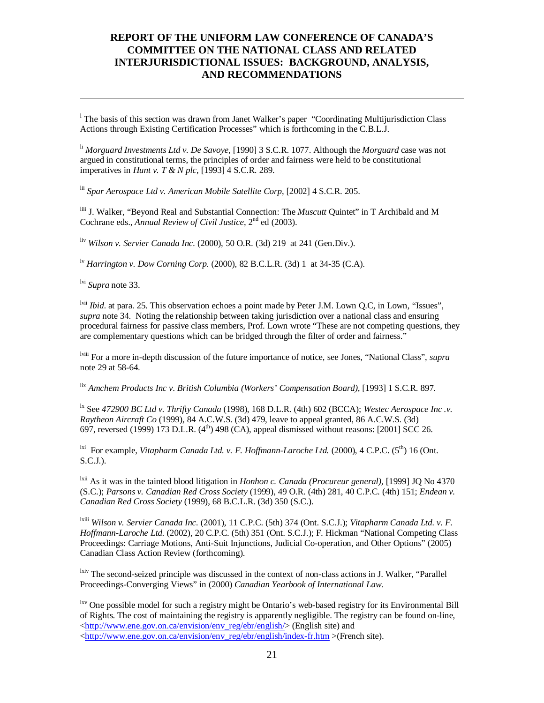<sup>1</sup> The basis of this section was drawn from Janet Walker's paper "Coordinating Multijurisdiction Class" Actions through Existing Certification Processes" which is forthcoming in the C.B.L.J.

li *Morguard Investments Ltd v. De Savoye,* [1990] 3 S.C.R. 1077. Although the *Morguard* case was not argued in constitutional terms, the principles of order and fairness were held to be constitutional imperatives in *Hunt v. T & N plc,* [1993] 4 S.C.R. 289.

lii *Spar Aerospace Ltd v. American Mobile Satellite Corp*, [2002] 4 S.C.R. 205.

liii J. Walker, "Beyond Real and Substantial Connection: The *Muscutt* Quintet" in T Archibald and M Cochrane eds., *Annual Review of Civil Justice*, 2<sup>nd</sup> ed (2003).

liv *Wilson v. Servier Canada Inc.* (2000), 50 O.R. (3d) 219 at 241 (Gen.Div.).

lv *Harrington v. Dow Corning Corp*. (2000), 82 B.C.L.R. (3d) 1 at 34-35 (C.A).

lvi *Supra* note 33.

<sup>lvii</sup> *Ibid*. at para. 25. This observation echoes a point made by Peter J.M. Lown Q.C, in Lown, "Issues", *supra* note 34*.* Noting the relationship between taking jurisdiction over a national class and ensuring procedural fairness for passive class members, Prof. Lown wrote "These are not competing questions, they are complementary questions which can be bridged through the filter of order and fairness."

lviii For a more in-depth discussion of the future importance of notice, see Jones, "National Class", *supra* note 29 at 58-64.

lix *Amchem Products Inc v. British Columbia (Workers' Compensation Board),* [1993] 1 S.C.R. 897.

lx See *472900 BC Ltd v. Thrifty Canada* (1998), 168 D.L.R. (4th) 602 (BCCA); *Westec Aerospace Inc .v. Raytheon Aircraft Co* (1999), 84 A.C.W.S. (3d) 479, leave to appeal granted, 86 A.C.W.S. (3d) 697, reversed (1999) 173 D.L.R.  $(4<sup>th</sup>)$  498 (CA), appeal dismissed without reasons: [2001] SCC 26.

<sup>1xi</sup> For example, *Vitapharm Canada Ltd. v. F. Hoffmann-Laroche Ltd.* (2000), 4 C.P.C. (5<sup>th</sup>) 16 (Ont.  $S.C.J.$ ).

lxii As it was in the tainted blood litigation in *Honhon c. Canada (Procureur general),* [1999] JQ No 4370 (S.C.); *Parsons v. Canadian Red Cross Society* (1999), 49 O.R. (4th) 281, 40 C.P.C. (4th) 151; *Endean v. Canadian Red Cross Society* (1999), 68 B.C.L.R. (3d) 350 (S.C.).

lxiii *Wilson v. Servier Canada Inc.* (2001), 11 C.P.C. (5th) 374 (Ont. S.C.J.); *Vitapharm Canada Ltd. v. F. Hoffmann-Laroche Ltd.* (2002), 20 C.P.C. (5th) 351 (Ont. S.C.J.); F. Hickman "National Competing Class Proceedings: Carriage Motions, Anti-Suit Injunctions, Judicial Co-operation, and Other Options" (2005) Canadian Class Action Review (forthcoming).

<sup>lxiv</sup> The second-seized principle was discussed in the context of non-class actions in J. Walker, "Parallel Proceedings-Converging Views" in (2000) *Canadian Yearbook of International Law*.

<sup>lxv</sup> One possible model for such a registry might be Ontario's web-based registry for its Environmental Bill of Rights. The cost of maintaining the registry is apparently negligible. The registry can be found on-line, <http://www.ene.gov.on.ca/envision/env\_reg/ebr/english/> (English site) and <http://www.ene.gov.on.ca/envision/env\_reg/ebr/english/index-fr.htm >(French site).